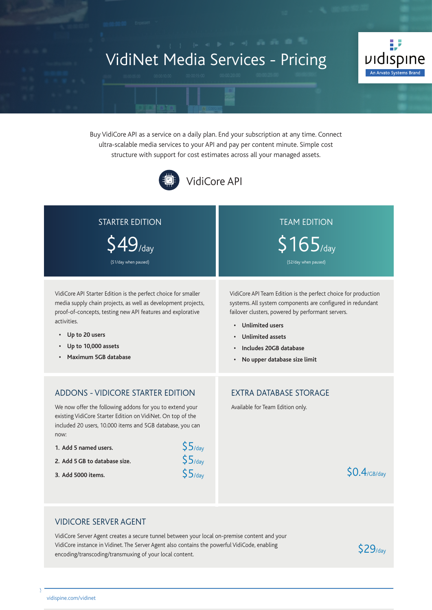# VidiNet Media Services - Pricing



Buy VidiCore API as a service on a daily plan. End your subscription at any time. Connect ultra-scalable media services to your API and pay per content minute. Simple cost structure with support for cost estimates across all your managed assets.



| <b>STARTER EDITION</b><br>(\$1/day when paused)                                                                                                                                                                                                                                                                                                               | <b>TEAM EDITION</b><br>$$165$ /day<br>(\$2/day when paused)                                                                                                                                                                                                                                                                             |
|---------------------------------------------------------------------------------------------------------------------------------------------------------------------------------------------------------------------------------------------------------------------------------------------------------------------------------------------------------------|-----------------------------------------------------------------------------------------------------------------------------------------------------------------------------------------------------------------------------------------------------------------------------------------------------------------------------------------|
| VidiCore API Starter Edition is the perfect choice for smaller<br>media supply chain projects, as well as development projects,<br>proof-of-concepts, testing new API features and explorative<br>activities.<br>• Up to 20 users<br>Up to 10,000 assets<br>Maximum 5GB database                                                                              | VidiCore API Team Edition is the perfect choice for production<br>systems. All system components are configured in redundant<br>failover clusters, powered by performant servers.<br><b>Unlimited users</b><br>$\bullet$<br><b>Unlimited assets</b><br>Includes 20GB database<br>$\bullet$<br>No upper database size limit<br>$\bullet$ |
| <b>ADDONS - VIDICORE STARTER EDITION</b><br>We now offer the following addons for you to extend your<br>existing VidiCore Starter Edition on VidiNet. On top of the<br>included 20 users, 10.000 items and 5GB database, you can<br>now:<br>$$5/$ day<br>1. Add 5 named users.<br>\$5/day<br>2. Add 5 GB to database size.<br>$$5/$ day<br>3. Add 5000 items. | <b>EXTRA DATABASE STORAGE</b><br>Available for Team Edition only.<br>$SO.4$ /GB/dav                                                                                                                                                                                                                                                     |

#### VIDICORE SERVER AGENT

VidiCore Server Agent creates a secure tunnel between your local on-premise content and your VidiCore instance in Vidinet. The Server Agent also contains the powerful VidiCode, enabling encoding/transcoding/transmuxing of your local content.

 $\alpha$  is composite Pricing information current as at April 28, 2022, 2022, 2022, 2022, 2022, 2022, 2022, 2022, 2022, 2022, 2022, 2022, 2022, 2022, 2022, 2022, 2022, 2022, 2022, 2022, 2022, 2022, 2022, 2022, 2022, 2022, 202

\$29/day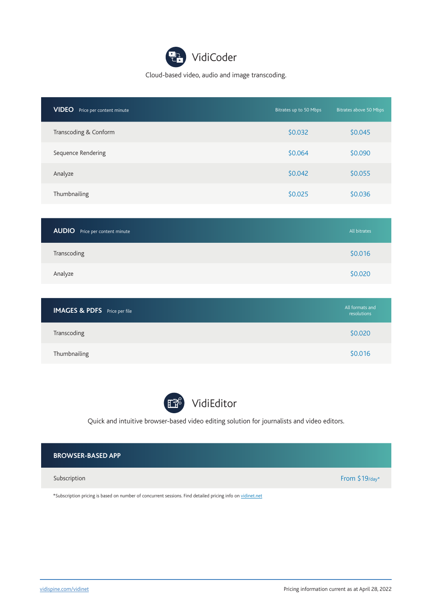Cloud-based video, audio and image transcoding.

| <b>VIDEO</b><br>Price per content minute | Bitrates up to 50 Mbps | Bitrates above 50 Mbps |
|------------------------------------------|------------------------|------------------------|
| Transcoding & Conform                    | \$0.032                | \$0.045                |
| Sequence Rendering                       | \$0.064                | \$0.090                |
| Analyze                                  | \$0.042                | \$0.055                |
| Thumbnailing                             | \$0.025                | \$0.036                |

| <b>AUDIO</b> Price per content minute | All bitrates |
|---------------------------------------|--------------|
| Transcoding                           | \$0.016      |
| Analyze                               | \$0.020      |

| <b>IMAGES &amp; PDFS</b> Price per file | All formats and<br>resolutions |
|-----------------------------------------|--------------------------------|
| Transcoding                             | \$0.020                        |
| Thumbnailing                            | \$0.016                        |



VidiEditor

Quick and intuitive browser-based video editing solution for journalists and video editors.

| <b>BROWSER-BASED APP</b>                                                                                   |                  |
|------------------------------------------------------------------------------------------------------------|------------------|
| Subscription                                                                                               | From $$19$ /day* |
| *Subscription pricing is based on number of concurrent sessions. Find detailed pricing info on vidinet.net |                  |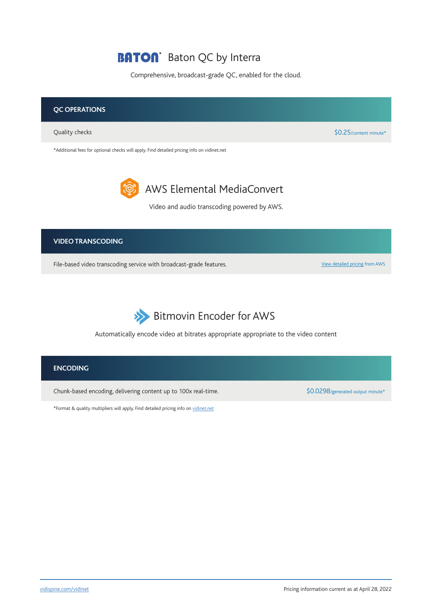### **BATON** Baton QC by Interra

Comprehensive, broadcast-grade QC, enabled for the cloud.





Automatically encode video at bitrates appropriate appropriate to the video content

#### **ENCODING**

Chunk-based encoding, delivering content up to 100x real-time. <br>\$0.0298/generated output minute\*

\*Format & quality multipliers will apply. Find detailed pricing info on vidinet.net